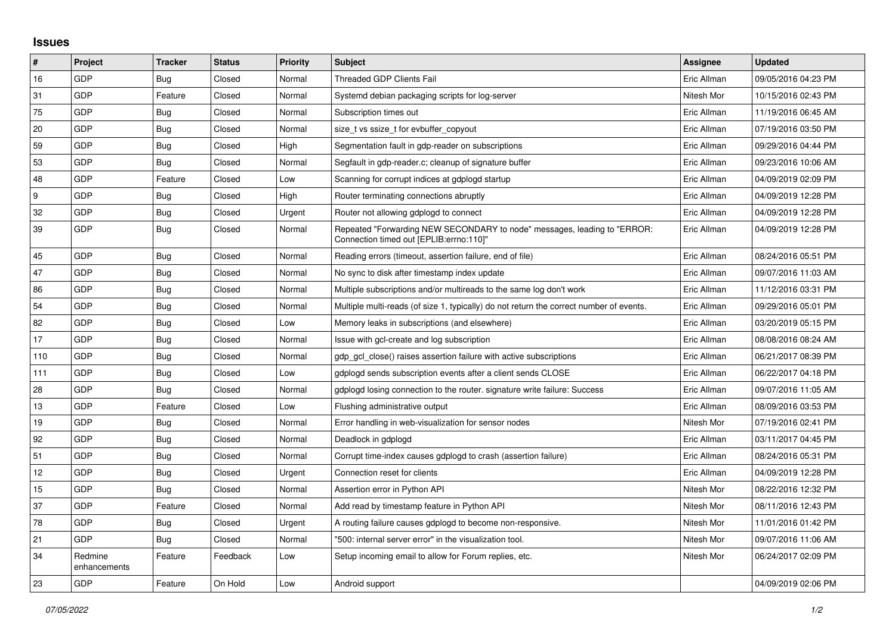## **Issues**

| #   | Project                 | <b>Tracker</b> | <b>Status</b> | <b>Priority</b> | <b>Subject</b>                                                                                                      | <b>Assignee</b> | <b>Updated</b>      |
|-----|-------------------------|----------------|---------------|-----------------|---------------------------------------------------------------------------------------------------------------------|-----------------|---------------------|
| 16  | GDP                     | Bug            | Closed        | Normal          | Threaded GDP Clients Fail                                                                                           | Eric Allman     | 09/05/2016 04:23 PM |
| 31  | GDP                     | Feature        | Closed        | Normal          | Systemd debian packaging scripts for log-server                                                                     | Nitesh Mor      | 10/15/2016 02:43 PM |
| 75  | GDP                     | Bug            | Closed        | Normal          | Subscription times out                                                                                              | Eric Allman     | 11/19/2016 06:45 AM |
| 20  | GDP                     | Bug            | Closed        | Normal          | size t vs ssize t for evbuffer copyout                                                                              | Eric Allman     | 07/19/2016 03:50 PM |
| 59  | GDP                     | Bug            | Closed        | High            | Segmentation fault in gdp-reader on subscriptions                                                                   | Eric Allman     | 09/29/2016 04:44 PM |
| 53  | GDP                     | Bug            | Closed        | Normal          | Segfault in gdp-reader.c; cleanup of signature buffer                                                               | Eric Allman     | 09/23/2016 10:06 AM |
| 48  | GDP                     | Feature        | Closed        | Low             | Scanning for corrupt indices at gdplogd startup                                                                     | Eric Allman     | 04/09/2019 02:09 PM |
| l 9 | GDP                     | <b>Bug</b>     | Closed        | High            | Router terminating connections abruptly                                                                             | Eric Allman     | 04/09/2019 12:28 PM |
| 32  | GDP                     | <b>Bug</b>     | Closed        | Urgent          | Router not allowing gdplogd to connect                                                                              | Eric Allman     | 04/09/2019 12:28 PM |
| 39  | GDP                     | Bug            | Closed        | Normal          | Repeated "Forwarding NEW SECONDARY to node" messages, leading to "ERROR:<br>Connection timed out [EPLIB:errno:110]" | Eric Allman     | 04/09/2019 12:28 PM |
| 45  | GDP                     | <b>Bug</b>     | Closed        | Normal          | Reading errors (timeout, assertion failure, end of file)                                                            | Eric Allman     | 08/24/2016 05:51 PM |
| 47  | GDP                     | Bug            | Closed        | Normal          | No sync to disk after timestamp index update                                                                        | Eric Allman     | 09/07/2016 11:03 AM |
| 86  | GDP                     | <b>Bug</b>     | Closed        | Normal          | Multiple subscriptions and/or multireads to the same log don't work                                                 | Eric Allman     | 11/12/2016 03:31 PM |
| 54  | GDP                     | <b>Bug</b>     | Closed        | Normal          | Multiple multi-reads (of size 1, typically) do not return the correct number of events.                             | Eric Allman     | 09/29/2016 05:01 PM |
| 82  | GDP                     | Bug            | Closed        | Low             | Memory leaks in subscriptions (and elsewhere)                                                                       | Eric Allman     | 03/20/2019 05:15 PM |
| 17  | GDP                     | <b>Bug</b>     | Closed        | Normal          | Issue with gcl-create and log subscription                                                                          | Eric Allman     | 08/08/2016 08:24 AM |
| 110 | GDP                     | <b>Bug</b>     | Closed        | Normal          | gdp gcl close() raises assertion failure with active subscriptions                                                  | Eric Allman     | 06/21/2017 08:39 PM |
| 111 | GDP                     | Bug            | Closed        | Low             | gdplogd sends subscription events after a client sends CLOSE                                                        | Eric Allman     | 06/22/2017 04:18 PM |
| 28  | GDP                     | Bug            | Closed        | Normal          | gdplogd losing connection to the router, signature write failure: Success                                           | Eric Allman     | 09/07/2016 11:05 AM |
| 13  | GDP                     | Feature        | Closed        | Low             | Flushing administrative output                                                                                      | Eric Allman     | 08/09/2016 03:53 PM |
| 19  | GDP                     | <b>Bug</b>     | Closed        | Normal          | Error handling in web-visualization for sensor nodes                                                                | Nitesh Mor      | 07/19/2016 02:41 PM |
| 92  | GDP                     | Bug            | Closed        | Normal          | Deadlock in gdplogd                                                                                                 | Eric Allman     | 03/11/2017 04:45 PM |
| 51  | GDP                     | Bug            | Closed        | Normal          | Corrupt time-index causes gdplogd to crash (assertion failure)                                                      | Eric Allman     | 08/24/2016 05:31 PM |
| 12  | GDP                     | <b>Bug</b>     | Closed        | Urgent          | Connection reset for clients                                                                                        | Eric Allman     | 04/09/2019 12:28 PM |
| 15  | GDP                     | <b>Bug</b>     | Closed        | Normal          | Assertion error in Python API                                                                                       | Nitesh Mor      | 08/22/2016 12:32 PM |
| 37  | GDP                     | Feature        | Closed        | Normal          | Add read by timestamp feature in Python API                                                                         | Nitesh Mor      | 08/11/2016 12:43 PM |
| 78  | GDP                     | Bug            | Closed        | Urgent          | A routing failure causes gdplogd to become non-responsive.                                                          | Nitesh Mor      | 11/01/2016 01:42 PM |
| 21  | GDP                     | <b>Bug</b>     | Closed        | Normal          | '500: internal server error" in the visualization tool.                                                             | Nitesh Mor      | 09/07/2016 11:06 AM |
| 34  | Redmine<br>enhancements | Feature        | Feedback      | Low             | Setup incoming email to allow for Forum replies, etc.                                                               | Nitesh Mor      | 06/24/2017 02:09 PM |
| 23  | GDP                     | Feature        | On Hold       | Low             | Android support                                                                                                     |                 | 04/09/2019 02:06 PM |